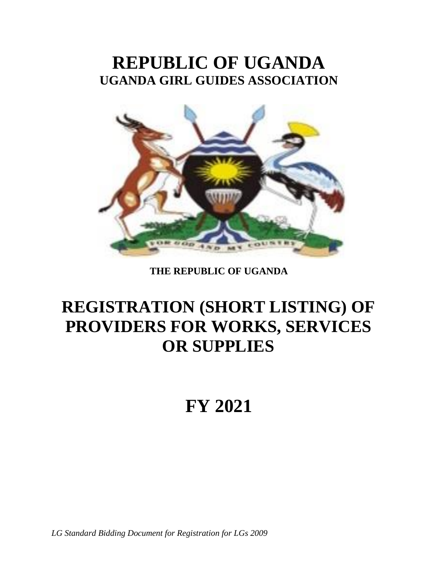# **REPUBLIC OF UGANDA UGANDA GIRL GUIDES ASSOCIATION**



## **THE REPUBLIC OF UGANDA**

# **REGISTRATION (SHORT LISTING) OF PROVIDERS FOR WORKS, SERVICES OR SUPPLIES**

# **FY 2021**

*LG Standard Bidding Document for Registration for LGs 2009*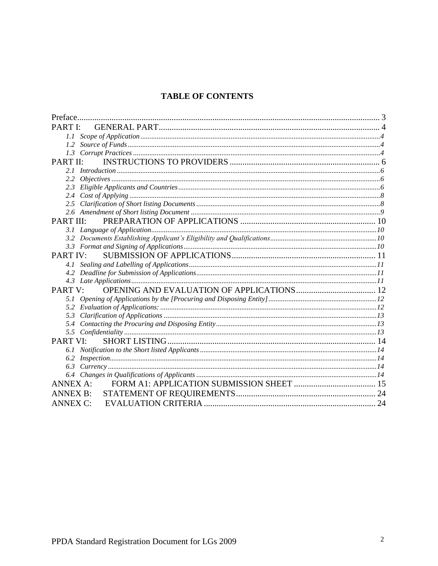## **TABLE OF CONTENTS**

| Preface.         |  |
|------------------|--|
| PARTI'           |  |
| 1.1              |  |
| 1.2              |  |
|                  |  |
| PART II:         |  |
|                  |  |
| 2.2              |  |
| 2.3              |  |
|                  |  |
|                  |  |
|                  |  |
| <b>PART III:</b> |  |
|                  |  |
|                  |  |
|                  |  |
| PART IV:         |  |
|                  |  |
|                  |  |
|                  |  |
| PART V:          |  |
|                  |  |
| 5.2              |  |
| 5.3              |  |
|                  |  |
|                  |  |
| PART VI:         |  |
|                  |  |
|                  |  |
|                  |  |
|                  |  |
| <b>ANNEX A:</b>  |  |
| <b>ANNEX B:</b>  |  |
| <b>ANNEX C:</b>  |  |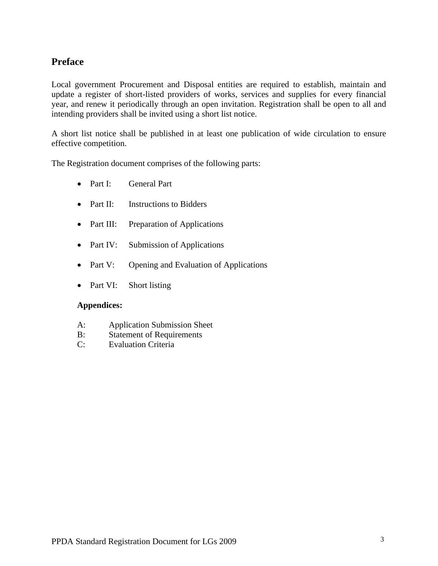## **Preface**

Local government Procurement and Disposal entities are required to establish, maintain and update a register of short-listed providers of works, services and supplies for every financial year, and renew it periodically through an open invitation. Registration shall be open to all and intending providers shall be invited using a short list notice.

A short list notice shall be published in at least one publication of wide circulation to ensure effective competition.

The Registration document comprises of the following parts:

- Part I: General Part
- Part II: Instructions to Bidders
- Part III: Preparation of Applications
- Part IV: Submission of Applications
- Part V: Opening and Evaluation of Applications
- Part VI: Short listing

#### **Appendices:**

- A: Application Submission Sheet
- B: Statement of Requirements
- C: Evaluation Criteria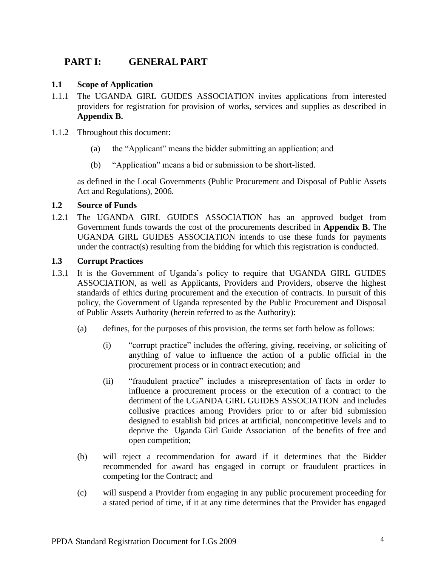## **PART I: GENERAL PART**

#### **1.1 Scope of Application**

- 1.1.1 The UGANDA GIRL GUIDES ASSOCIATION invites applications from interested providers for registration for provision of works, services and supplies as described in **Appendix B.**
- 1.1.2 Throughout this document:
	- (a) the "Applicant" means the bidder submitting an application; and
	- (b) "Application" means a bid or submission to be short-listed.

as defined in the Local Governments (Public Procurement and Disposal of Public Assets Act and Regulations), 2006.

#### **1.2 Source of Funds**

1.2.1 The UGANDA GIRL GUIDES ASSOCIATION has an approved budget from Government funds towards the cost of the procurements described in **Appendix B.** The UGANDA GIRL GUIDES ASSOCIATION intends to use these funds for payments under the contract(s) resulting from the bidding for which this registration is conducted.

#### **1.3 Corrupt Practices**

- 1.3.1 It is the Government of Uganda's policy to require that UGANDA GIRL GUIDES ASSOCIATION, as well as Applicants, Providers and Providers, observe the highest standards of ethics during procurement and the execution of contracts. In pursuit of this policy, the Government of Uganda represented by the Public Procurement and Disposal of Public Assets Authority (herein referred to as the Authority):
	- (a) defines, for the purposes of this provision, the terms set forth below as follows:
		- (i) "corrupt practice" includes the offering, giving, receiving, or soliciting of anything of value to influence the action of a public official in the procurement process or in contract execution; and
		- (ii) "fraudulent practice" includes a misrepresentation of facts in order to influence a procurement process or the execution of a contract to the detriment of the UGANDA GIRL GUIDES ASSOCIATION and includes collusive practices among Providers prior to or after bid submission designed to establish bid prices at artificial, noncompetitive levels and to deprive the Uganda Girl Guide Association of the benefits of free and open competition;
	- (b) will reject a recommendation for award if it determines that the Bidder recommended for award has engaged in corrupt or fraudulent practices in competing for the Contract; and
	- (c) will suspend a Provider from engaging in any public procurement proceeding for a stated period of time, if it at any time determines that the Provider has engaged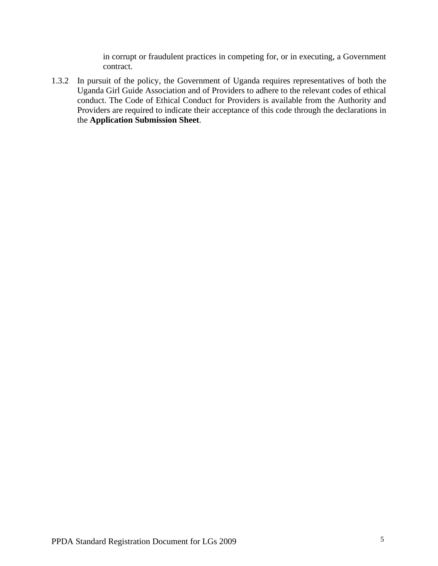in corrupt or fraudulent practices in competing for, or in executing, a Government contract.

1.3.2 In pursuit of the policy, the Government of Uganda requires representatives of both the Uganda Girl Guide Association and of Providers to adhere to the relevant codes of ethical conduct. The Code of Ethical Conduct for Providers is available from the Authority and Providers are required to indicate their acceptance of this code through the declarations in the **Application Submission Sheet**.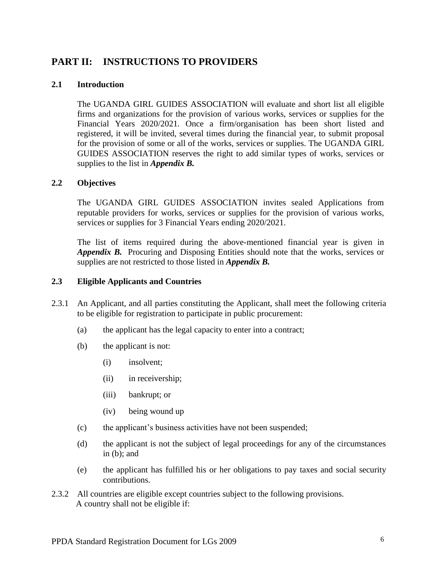## **PART II: INSTRUCTIONS TO PROVIDERS**

#### **2.1 Introduction**

The UGANDA GIRL GUIDES ASSOCIATION will evaluate and short list all eligible firms and organizations for the provision of various works, services or supplies for the Financial Years 2020/2021*.* Once a firm/organisation has been short listed and registered, it will be invited, several times during the financial year, to submit proposal for the provision of some or all of the works, services or supplies. The UGANDA GIRL GUIDES ASSOCIATION reserves the right to add similar types of works, services or supplies to the list in *Appendix B.*

#### **2.2 Objectives**

The UGANDA GIRL GUIDES ASSOCIATION invites sealed Applications from reputable providers for works, services or supplies for the provision of various works, services or supplies for 3 Financial Years ending 2020/2021.

The list of items required during the above-mentioned financial year is given in *Appendix B.* Procuring and Disposing Entities should note that the works, services or supplies are not restricted to those listed in *Appendix B.* 

#### **2.3 Eligible Applicants and Countries**

- 2.3.1 An Applicant, and all parties constituting the Applicant, shall meet the following criteria to be eligible for registration to participate in public procurement:
	- (a) the applicant has the legal capacity to enter into a contract;
	- (b) the applicant is not:
		- (i) insolvent;
		- (ii) in receivership;
		- (iii) bankrupt; or
		- (iv) being wound up
	- (c) the applicant's business activities have not been suspended;
	- (d) the applicant is not the subject of legal proceedings for any of the circumstances in (b); and
	- (e) the applicant has fulfilled his or her obligations to pay taxes and social security contributions.
- 2.3.2 All countries are eligible except countries subject to the following provisions. A country shall not be eligible if: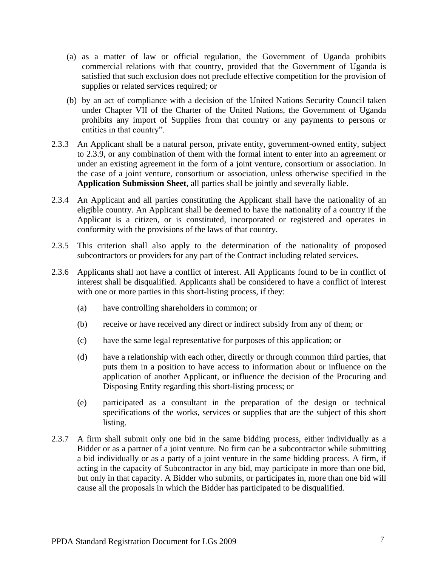- (a) as a matter of law or official regulation, the Government of Uganda prohibits commercial relations with that country, provided that the Government of Uganda is satisfied that such exclusion does not preclude effective competition for the provision of supplies or related services required; or
- (b) by an act of compliance with a decision of the United Nations Security Council taken under Chapter VII of the Charter of the United Nations, the Government of Uganda prohibits any import of Supplies from that country or any payments to persons or entities in that country".
- 2.3.3 An Applicant shall be a natural person, private entity, government-owned entity, subject to 2.3.9, or any combination of them with the formal intent to enter into an agreement or under an existing agreement in the form of a joint venture, consortium or association. In the case of a joint venture, consortium or association, unless otherwise specified in the **Application Submission Sheet**, all parties shall be jointly and severally liable.
- 2.3.4 An Applicant and all parties constituting the Applicant shall have the nationality of an eligible country. An Applicant shall be deemed to have the nationality of a country if the Applicant is a citizen, or is constituted, incorporated or registered and operates in conformity with the provisions of the laws of that country.
- 2.3.5 This criterion shall also apply to the determination of the nationality of proposed subcontractors or providers for any part of the Contract including related services.
- 2.3.6 Applicants shall not have a conflict of interest. All Applicants found to be in conflict of interest shall be disqualified. Applicants shall be considered to have a conflict of interest with one or more parties in this short-listing process, if they:
	- (a) have controlling shareholders in common; or
	- (b) receive or have received any direct or indirect subsidy from any of them; or
	- (c) have the same legal representative for purposes of this application; or
	- (d) have a relationship with each other, directly or through common third parties, that puts them in a position to have access to information about or influence on the application of another Applicant, or influence the decision of the Procuring and Disposing Entity regarding this short-listing process; or
	- (e) participated as a consultant in the preparation of the design or technical specifications of the works, services or supplies that are the subject of this short listing.
- 2.3.7 A firm shall submit only one bid in the same bidding process, either individually as a Bidder or as a partner of a joint venture. No firm can be a subcontractor while submitting a bid individually or as a party of a joint venture in the same bidding process. A firm, if acting in the capacity of Subcontractor in any bid, may participate in more than one bid, but only in that capacity. A Bidder who submits, or participates in, more than one bid will cause all the proposals in which the Bidder has participated to be disqualified.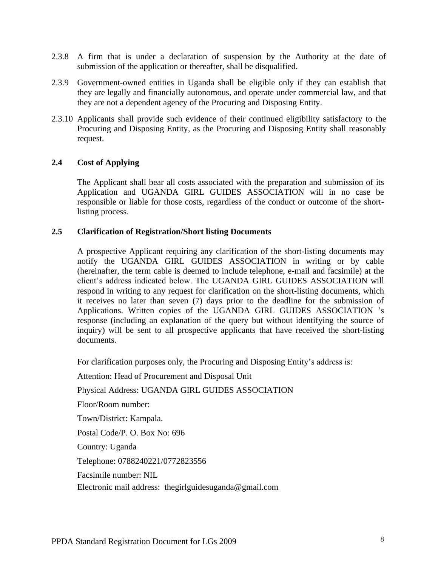- 2.3.8 A firm that is under a declaration of suspension by the Authority at the date of submission of the application or thereafter, shall be disqualified.
- 2.3.9 Government-owned entities in Uganda shall be eligible only if they can establish that they are legally and financially autonomous, and operate under commercial law, and that they are not a dependent agency of the Procuring and Disposing Entity.
- 2.3.10 Applicants shall provide such evidence of their continued eligibility satisfactory to the Procuring and Disposing Entity, as the Procuring and Disposing Entity shall reasonably request.

#### **2.4 Cost of Applying**

The Applicant shall bear all costs associated with the preparation and submission of its Application and UGANDA GIRL GUIDES ASSOCIATION will in no case be responsible or liable for those costs, regardless of the conduct or outcome of the shortlisting process.

#### **2.5 Clarification of Registration/Short listing Documents**

A prospective Applicant requiring any clarification of the short-listing documents may notify the UGANDA GIRL GUIDES ASSOCIATION in writing or by cable (hereinafter, the term cable is deemed to include telephone, e-mail and facsimile) at the client's address indicated below. The UGANDA GIRL GUIDES ASSOCIATION will respond in writing to any request for clarification on the short-listing documents, which it receives no later than seven (7) days prior to the deadline for the submission of Applications. Written copies of the UGANDA GIRL GUIDES ASSOCIATION 's response (including an explanation of the query but without identifying the source of inquiry) will be sent to all prospective applicants that have received the short-listing documents.

For clarification purposes only, the Procuring and Disposing Entity's address is:

Attention: Head of Procurement and Disposal Unit

Physical Address: UGANDA GIRL GUIDES ASSOCIATION

Floor/Room number:

Town/District: Kampala.

Postal Code/P. O. Box No: 696

Country: Uganda

Telephone: 0788240221/0772823556

Facsimile number: NIL

Electronic mail address: thegirlguidesuganda@gmail.com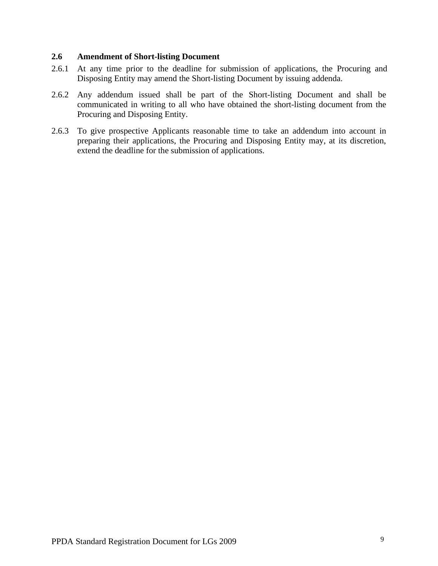#### **2.6 Amendment of Short-listing Document**

- 2.6.1 At any time prior to the deadline for submission of applications, the Procuring and Disposing Entity may amend the Short-listing Document by issuing addenda.
- 2.6.2 Any addendum issued shall be part of the Short-listing Document and shall be communicated in writing to all who have obtained the short-listing document from the Procuring and Disposing Entity.
- 2.6.3 To give prospective Applicants reasonable time to take an addendum into account in preparing their applications, the Procuring and Disposing Entity may, at its discretion, extend the deadline for the submission of applications.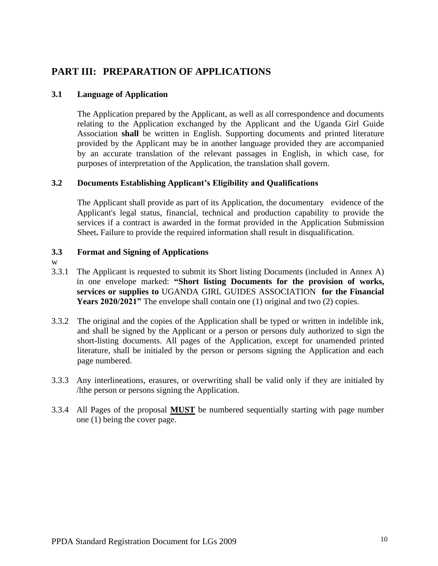## **PART III: PREPARATION OF APPLICATIONS**

#### **3.1 Language of Application**

The Application prepared by the Applicant, as well as all correspondence and documents relating to the Application exchanged by the Applicant and the Uganda Girl Guide Association **shall** be written in English. Supporting documents and printed literature provided by the Applicant may be in another language provided they are accompanied by an accurate translation of the relevant passages in English, in which case, for purposes of interpretation of the Application, the translation shall govern.

#### **3.2 Documents Establishing Applicant's Eligibility and Qualifications**

The Applicant shall provide as part of its Application, the documentary evidence of the Applicant's legal status, financial, technical and production capability to provide the services if a contract is awarded in the format provided in the Application Submission Sheet**.** Failure to provide the required information shall result in disqualification.

#### **3.3 Format and Signing of Applications**

- w
- 3.3.1 The Applicant is requested to submit its Short listing Documents (included in Annex A) in one envelope marked: **"Short listing Documents for the provision of works, services or supplies to** UGANDA GIRL GUIDES ASSOCIATION **for the Financial Years 2020/2021"** The envelope shall contain one (1) original and two (2) copies.
- 3.3.2 The original and the copies of the Application shall be typed or written in indelible ink, and shall be signed by the Applicant or a person or persons duly authorized to sign the short-listing documents. All pages of the Application, except for unamended printed literature, shall be initialed by the person or persons signing the Application and each page numbered.
- 3.3.3 Any interlineations, erasures, or overwriting shall be valid only if they are initialed by /lthe person or persons signing the Application.
- 3.3.4 All Pages of the proposal **MUST** be numbered sequentially starting with page number one (1) being the cover page.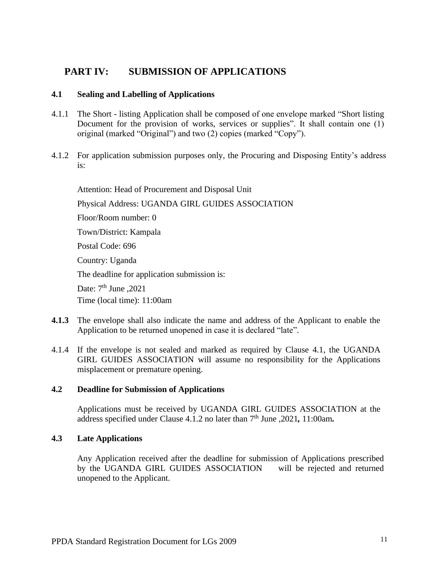## **PART IV: SUBMISSION OF APPLICATIONS**

#### **4.1 Sealing and Labelling of Applications**

- 4.1.1 The Short listing Application shall be composed of one envelope marked "Short listing Document for the provision of works, services or supplies". It shall contain one (1) original (marked "Original") and two (2) copies (marked "Copy").
- 4.1.2 For application submission purposes only, the Procuring and Disposing Entity's address is:

Attention: Head of Procurement and Disposal Unit

Physical Address: UGANDA GIRL GUIDES ASSOCIATION

Floor/Room number: 0

Town/District: Kampala

Postal Code: 696

Country: Uganda

The deadline for application submission is:

Date: 7<sup>th</sup> June ,2021

Time (local time): 11:00am

- **4.1.3** The envelope shall also indicate the name and address of the Applicant to enable the Application to be returned unopened in case it is declared "late".
- 4.1.4 If the envelope is not sealed and marked as required by Clause 4.1, the UGANDA GIRL GUIDES ASSOCIATION will assume no responsibility for the Applications misplacement or premature opening.

#### **4.2 Deadline for Submission of Applications**

Applications must be received by UGANDA GIRL GUIDES ASSOCIATION at the address specified under Clause 4.1.2 no later than 7 th June ,2021*,* 11:00am*.*

#### **4.3 Late Applications**

Any Application received after the deadline for submission of Applications prescribed by the UGANDA GIRL GUIDES ASSOCIATION will be rejected and returned unopened to the Applicant.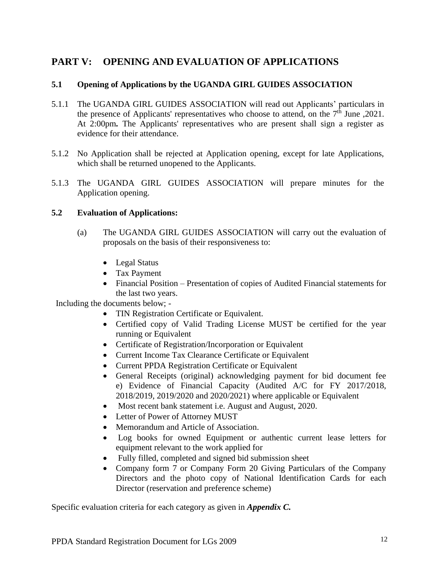## **PART V: OPENING AND EVALUATION OF APPLICATIONS**

#### **5.1 Opening of Applications by the UGANDA GIRL GUIDES ASSOCIATION**

- 5.1.1 The UGANDA GIRL GUIDES ASSOCIATION will read out Applicants' particulars in the presence of Applicants' representatives who choose to attend, on the  $7<sup>th</sup>$  June ,2021. At 2:00pm*.* The Applicants' representatives who are present shall sign a register as evidence for their attendance.
- 5.1.2 No Application shall be rejected at Application opening, except for late Applications, which shall be returned unopened to the Applicants.
- 5.1.3 The UGANDA GIRL GUIDES ASSOCIATION will prepare minutes for the Application opening.

#### **5.2 Evaluation of Applications:**

- (a) The UGANDA GIRL GUIDES ASSOCIATION will carry out the evaluation of proposals on the basis of their responsiveness to:
	- Legal Status
	- Tax Payment
	- Financial Position Presentation of copies of Audited Financial statements for the last two years.

Including the documents below; -

- TIN Registration Certificate or Equivalent.
- Certified copy of Valid Trading License MUST be certified for the year running or Equivalent
- Certificate of Registration/Incorporation or Equivalent
- Current Income Tax Clearance Certificate or Equivalent
- Current PPDA Registration Certificate or Equivalent
- General Receipts (original) acknowledging payment for bid document fee e) Evidence of Financial Capacity (Audited A/C for FY 2017/2018, 2018/2019, 2019/2020 and 2020/2021) where applicable or Equivalent
- Most recent bank statement i.e. August and August, 2020.
- Letter of Power of Attorney MUST
- Memorandum and Article of Association.
- Log books for owned Equipment or authentic current lease letters for equipment relevant to the work applied for
- Fully filled, completed and signed bid submission sheet
- Company form 7 or Company Form 20 Giving Particulars of the Company Directors and the photo copy of National Identification Cards for each Director (reservation and preference scheme)

Specific evaluation criteria for each category as given in *Appendix C.*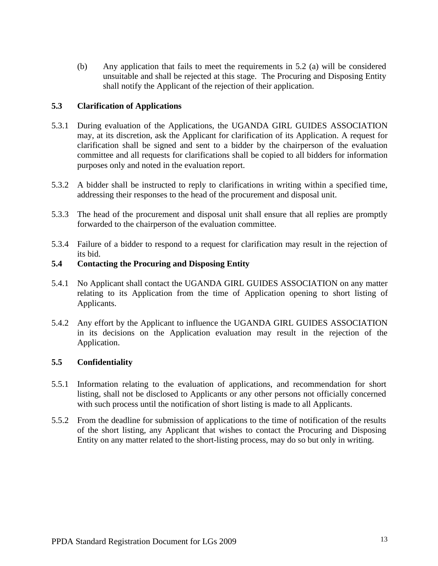(b) Any application that fails to meet the requirements in 5.2 (a) will be considered unsuitable and shall be rejected at this stage. The Procuring and Disposing Entity shall notify the Applicant of the rejection of their application.

#### **5.3 Clarification of Applications**

- 5.3.1 During evaluation of the Applications, the UGANDA GIRL GUIDES ASSOCIATION may, at its discretion, ask the Applicant for clarification of its Application. A request for clarification shall be signed and sent to a bidder by the chairperson of the evaluation committee and all requests for clarifications shall be copied to all bidders for information purposes only and noted in the evaluation report.
- 5.3.2 A bidder shall be instructed to reply to clarifications in writing within a specified time, addressing their responses to the head of the procurement and disposal unit.
- 5.3.3 The head of the procurement and disposal unit shall ensure that all replies are promptly forwarded to the chairperson of the evaluation committee.
- 5.3.4 Failure of a bidder to respond to a request for clarification may result in the rejection of its bid.

#### **5.4 Contacting the Procuring and Disposing Entity**

- 5.4.1 No Applicant shall contact the UGANDA GIRL GUIDES ASSOCIATION on any matter relating to its Application from the time of Application opening to short listing of Applicants.
- 5.4.2 Any effort by the Applicant to influence the UGANDA GIRL GUIDES ASSOCIATION in its decisions on the Application evaluation may result in the rejection of the Application.

#### **5.5 Confidentiality**

- 5.5.1 Information relating to the evaluation of applications, and recommendation for short listing, shall not be disclosed to Applicants or any other persons not officially concerned with such process until the notification of short listing is made to all Applicants.
- 5.5.2 From the deadline for submission of applications to the time of notification of the results of the short listing, any Applicant that wishes to contact the Procuring and Disposing Entity on any matter related to the short-listing process, may do so but only in writing.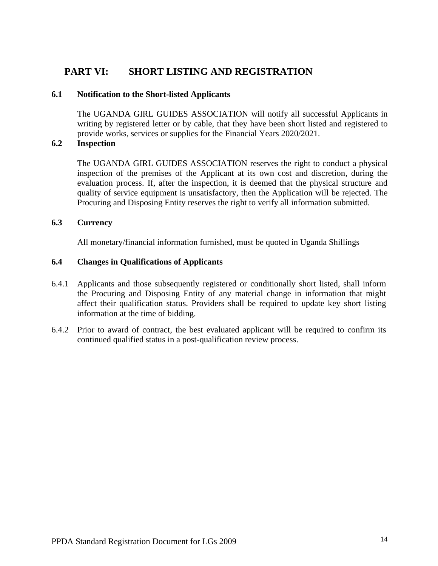## **PART VI: SHORT LISTING AND REGISTRATION**

#### **6.1 Notification to the Short-listed Applicants**

The UGANDA GIRL GUIDES ASSOCIATION will notify all successful Applicants in writing by registered letter or by cable, that they have been short listed and registered to provide works, services or supplies for the Financial Years 2020/2021.

#### **6.2 Inspection**

The UGANDA GIRL GUIDES ASSOCIATION reserves the right to conduct a physical inspection of the premises of the Applicant at its own cost and discretion, during the evaluation process. If, after the inspection, it is deemed that the physical structure and quality of service equipment is unsatisfactory, then the Application will be rejected. The Procuring and Disposing Entity reserves the right to verify all information submitted.

#### **6.3 Currency**

All monetary/financial information furnished, must be quoted in Uganda Shillings

#### **6.4 Changes in Qualifications of Applicants**

- 6.4.1 Applicants and those subsequently registered or conditionally short listed, shall inform the Procuring and Disposing Entity of any material change in information that might affect their qualification status. Providers shall be required to update key short listing information at the time of bidding.
- 6.4.2 Prior to award of contract, the best evaluated applicant will be required to confirm its continued qualified status in a post-qualification review process.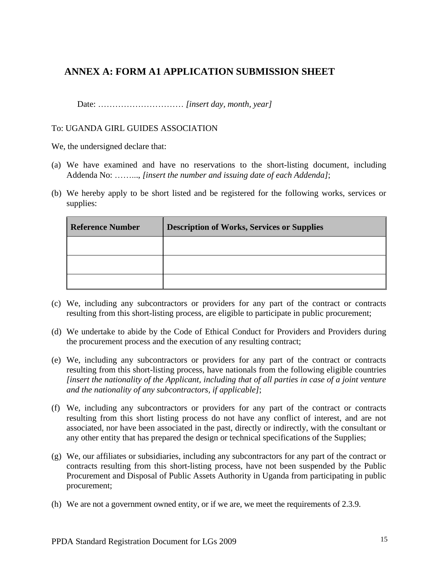## **ANNEX A: FORM A1 APPLICATION SUBMISSION SHEET**

Date: ………………………… *[insert day, month, year]*

To: UGANDA GIRL GUIDES ASSOCIATION

We, the undersigned declare that:

- (a) We have examined and have no reservations to the short-listing document, including Addenda No: ……..., *[insert the number and issuing date of each Addenda]*;
- (b) We hereby apply to be short listed and be registered for the following works, services or supplies:

| <b>Reference Number</b> | <b>Description of Works, Services or Supplies</b> |  |
|-------------------------|---------------------------------------------------|--|
|                         |                                                   |  |
|                         |                                                   |  |
|                         |                                                   |  |

- (c) We, including any subcontractors or providers for any part of the contract or contracts resulting from this short-listing process, are eligible to participate in public procurement;
- (d) We undertake to abide by the Code of Ethical Conduct for Providers and Providers during the procurement process and the execution of any resulting contract;
- (e) We, including any subcontractors or providers for any part of the contract or contracts resulting from this short-listing process, have nationals from the following eligible countries *[insert the nationality of the Applicant, including that of all parties in case of a joint venture and the nationality of any subcontractors, if applicable]*;
- (f) We, including any subcontractors or providers for any part of the contract or contracts resulting from this short listing process do not have any conflict of interest, and are not associated, nor have been associated in the past, directly or indirectly, with the consultant or any other entity that has prepared the design or technical specifications of the Supplies;
- (g) We, our affiliates or subsidiaries, including any subcontractors for any part of the contract or contracts resulting from this short-listing process, have not been suspended by the Public Procurement and Disposal of Public Assets Authority in Uganda from participating in public procurement;
- (h) We are not a government owned entity, or if we are, we meet the requirements of 2.3.9.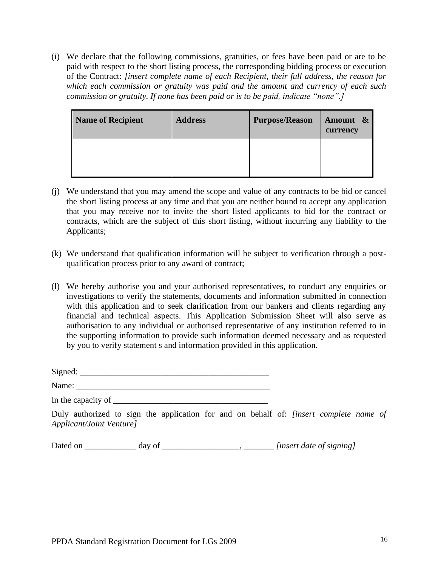(i) We declare that the following commissions, gratuities, or fees have been paid or are to be paid with respect to the short listing process, the corresponding bidding process or execution of the Contract: *[insert complete name of each Recipient, their full address, the reason for which each commission or gratuity was paid and the amount and currency of each such commission or gratuity. If none has been paid or is to be paid, indicate "none".]*

| Name of Recipient | <b>Address</b> | <b>Purpose/Reason</b> | Amount &<br>currency |
|-------------------|----------------|-----------------------|----------------------|
|                   |                |                       |                      |
|                   |                |                       |                      |

- (j) We understand that you may amend the scope and value of any contracts to be bid or cancel the short listing process at any time and that you are neither bound to accept any application that you may receive nor to invite the short listed applicants to bid for the contract or contracts, which are the subject of this short listing, without incurring any liability to the Applicants;
- (k) We understand that qualification information will be subject to verification through a postqualification process prior to any award of contract;
- (l) We hereby authorise you and your authorised representatives, to conduct any enquiries or investigations to verify the statements, documents and information submitted in connection with this application and to seek clarification from our bankers and clients regarding any financial and technical aspects. This Application Submission Sheet will also serve as authorisation to any individual or authorised representative of any institution referred to in the supporting information to provide such information deemed necessary and as requested by you to verify statement s and information provided in this application.

Signed: *\_\_\_\_\_\_\_\_\_\_\_\_\_\_\_\_\_\_\_\_\_\_\_\_\_\_\_\_\_\_\_\_\_\_\_\_\_\_\_\_\_\_\_\_*

Name: *\_\_\_\_\_\_\_\_\_\_\_\_\_\_\_\_\_\_\_\_\_\_\_\_\_\_\_\_\_\_\_\_\_\_\_\_\_\_\_\_\_\_\_\_\_*

In the capacity of

Duly authorized to sign the application for and on behalf of: *[insert complete name of Applicant/Joint Venture]*

Dated on \_\_\_\_\_\_\_\_\_\_\_\_ day of \_\_\_\_\_\_\_\_\_\_\_\_\_\_\_\_\_\_, \_\_\_\_\_\_\_ *[insert date of signing]*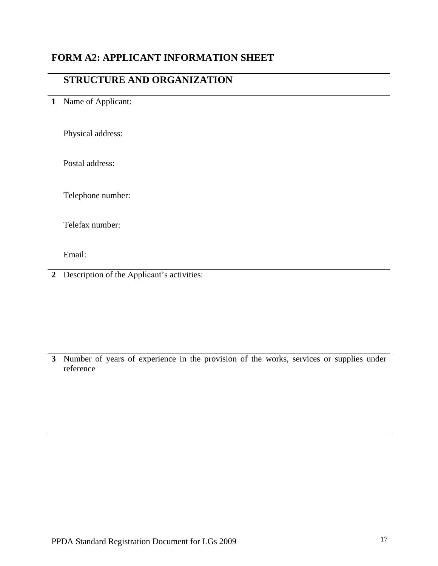## **FORM A2: APPLICANT INFORMATION SHEET**

## **STRUCTURE AND ORGANIZATION**

## **1** Name of Applicant:

Physical address:

Postal address:

Telephone number:

Telefax number:

Email:

**2** Description of the Applicant's activities:

**3** Number of years of experience in the provision of the works, services or supplies under reference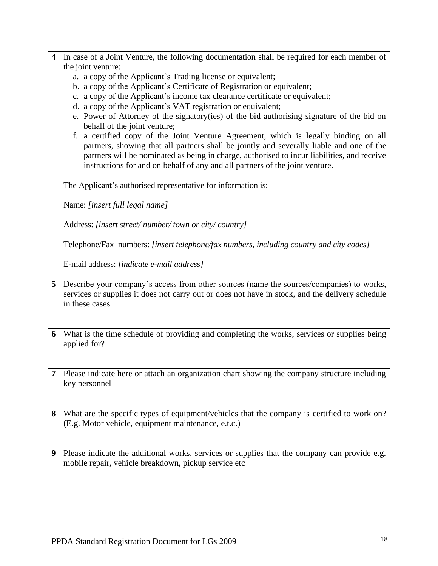- 4 In case of a Joint Venture, the following documentation shall be required for each member of the joint venture:
	- a. a copy of the Applicant's Trading license or equivalent;
	- b. a copy of the Applicant's Certificate of Registration or equivalent;
	- c. a copy of the Applicant's income tax clearance certificate or equivalent;
	- d. a copy of the Applicant's VAT registration or equivalent;
	- e. Power of Attorney of the signatory(ies) of the bid authorising signature of the bid on behalf of the joint venture;
	- f. a certified copy of the Joint Venture Agreement, which is legally binding on all partners, showing that all partners shall be jointly and severally liable and one of the partners will be nominated as being in charge, authorised to incur liabilities, and receive instructions for and on behalf of any and all partners of the joint venture.

The Applicant's authorised representative for information is:

Name: *[insert full legal name]*

Address: *[insert street/ number/ town or city/ country]*

Telephone/Fax numbers: *[insert telephone/fax numbers, including country and city codes]*

E-mail address: *[indicate e-mail address]*

- **5** Describe your company's access from other sources (name the sources/companies) to works, services or supplies it does not carry out or does not have in stock, and the delivery schedule in these cases
- **6** What is the time schedule of providing and completing the works, services or supplies being applied for?
- **7** Please indicate here or attach an organization chart showing the company structure including key personnel
- **8** What are the specific types of equipment/vehicles that the company is certified to work on? (E.g. Motor vehicle, equipment maintenance, e.t.c.)
- **9** Please indicate the additional works, services or supplies that the company can provide e.g. mobile repair, vehicle breakdown, pickup service etc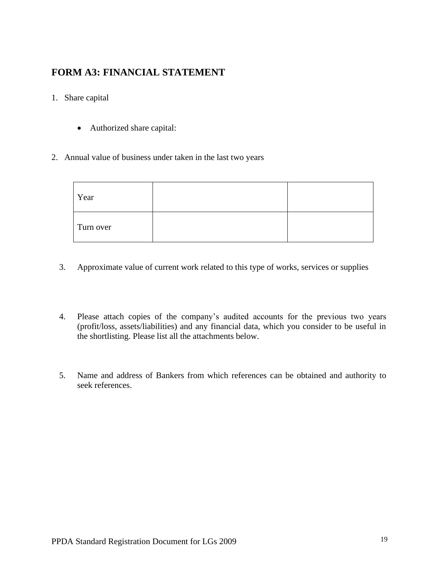## **FORM A3: FINANCIAL STATEMENT**

#### 1. Share capital

- Authorized share capital:
- 2. Annual value of business under taken in the last two years

| Year      |  |
|-----------|--|
| Turn over |  |

- 3. Approximate value of current work related to this type of works, services or supplies
- 4. Please attach copies of the company's audited accounts for the previous two years (profit/loss, assets/liabilities) and any financial data, which you consider to be useful in the shortlisting. Please list all the attachments below.
- 5. Name and address of Bankers from which references can be obtained and authority to seek references.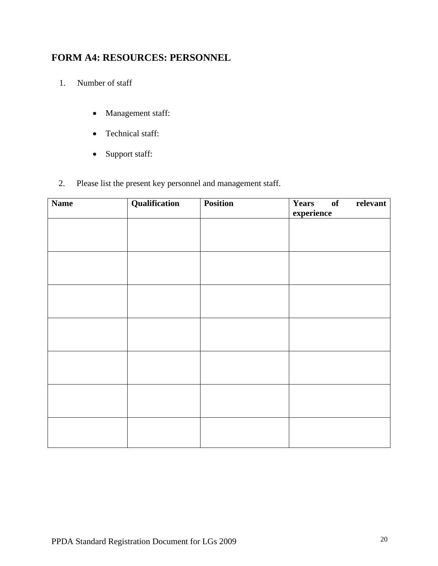## **FORM A4: RESOURCES: PERSONNEL**

- 1. Number of staff
	- Management staff:
	- Technical staff:
	- Support staff:
- 2. Please list the present key personnel and management staff.

| <b>Name</b> | Qualification | <b>Position</b> | Years of relevant<br>experience |
|-------------|---------------|-----------------|---------------------------------|
|             |               |                 |                                 |
|             |               |                 |                                 |
|             |               |                 |                                 |
|             |               |                 |                                 |
|             |               |                 |                                 |
|             |               |                 |                                 |
|             |               |                 |                                 |
|             |               |                 |                                 |
|             |               |                 |                                 |
|             |               |                 |                                 |
|             |               |                 |                                 |
|             |               |                 |                                 |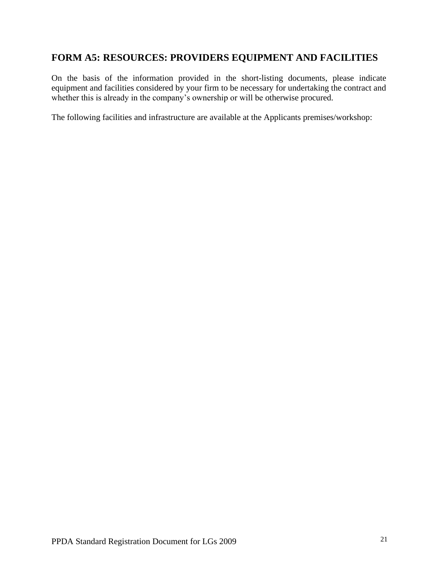## **FORM A5: RESOURCES: PROVIDERS EQUIPMENT AND FACILITIES**

On the basis of the information provided in the short-listing documents, please indicate equipment and facilities considered by your firm to be necessary for undertaking the contract and whether this is already in the company's ownership or will be otherwise procured.

The following facilities and infrastructure are available at the Applicants premises/workshop: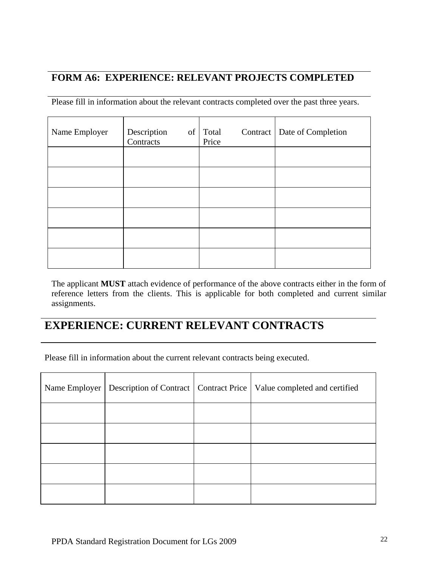## **FORM A6: EXPERIENCE: RELEVANT PROJECTS COMPLETED**

Please fill in information about the relevant contracts completed over the past three years.

| Name Employer | Description<br>Contracts | of Total<br>Price | Contract   Date of Completion |
|---------------|--------------------------|-------------------|-------------------------------|
|               |                          |                   |                               |
|               |                          |                   |                               |
|               |                          |                   |                               |
|               |                          |                   |                               |
|               |                          |                   |                               |
|               |                          |                   |                               |

The applicant **MUST** attach evidence of performance of the above contracts either in the form of reference letters from the clients. This is applicable for both completed and current similar assignments.

# **EXPERIENCE: CURRENT RELEVANT CONTRACTS**

Please fill in information about the current relevant contracts being executed.

|  | Name Employer   Description of Contract   Contract Price   Value completed and certified |
|--|------------------------------------------------------------------------------------------|
|  |                                                                                          |
|  |                                                                                          |
|  |                                                                                          |
|  |                                                                                          |
|  |                                                                                          |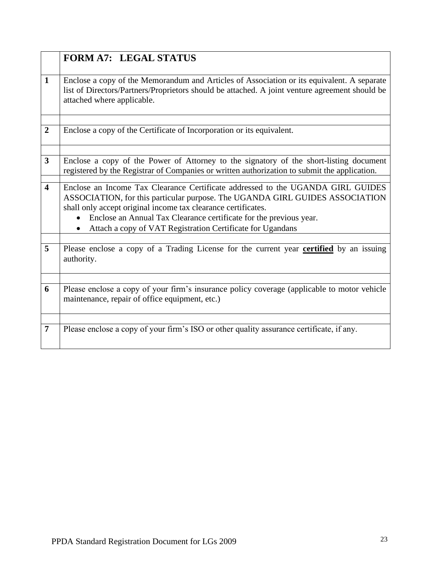|                         | <b>FORM A7: LEGAL STATUS</b>                                                                                                                                                                                                                                                                           |
|-------------------------|--------------------------------------------------------------------------------------------------------------------------------------------------------------------------------------------------------------------------------------------------------------------------------------------------------|
|                         |                                                                                                                                                                                                                                                                                                        |
| $\mathbf{1}$            | Enclose a copy of the Memorandum and Articles of Association or its equivalent. A separate<br>list of Directors/Partners/Proprietors should be attached. A joint venture agreement should be<br>attached where applicable.                                                                             |
|                         |                                                                                                                                                                                                                                                                                                        |
| $\overline{2}$          | Enclose a copy of the Certificate of Incorporation or its equivalent.                                                                                                                                                                                                                                  |
|                         |                                                                                                                                                                                                                                                                                                        |
| $\mathbf{3}$            | Enclose a copy of the Power of Attorney to the signatory of the short-listing document<br>registered by the Registrar of Companies or written authorization to submit the application.                                                                                                                 |
| $\overline{\mathbf{4}}$ | Enclose an Income Tax Clearance Certificate addressed to the UGANDA GIRL GUIDES<br>ASSOCIATION, for this particular purpose. The UGANDA GIRL GUIDES ASSOCIATION<br>shall only accept original income tax clearance certificates.<br>Enclose an Annual Tax Clearance certificate for the previous year. |
|                         | Attach a copy of VAT Registration Certificate for Ugandans                                                                                                                                                                                                                                             |
|                         |                                                                                                                                                                                                                                                                                                        |
| $\overline{5}$          | Please enclose a copy of a Trading License for the current year certified by an issuing<br>authority.                                                                                                                                                                                                  |
|                         |                                                                                                                                                                                                                                                                                                        |
| 6                       | Please enclose a copy of your firm's insurance policy coverage (applicable to motor vehicle<br>maintenance, repair of office equipment, etc.)                                                                                                                                                          |
|                         |                                                                                                                                                                                                                                                                                                        |
| 7                       | Please enclose a copy of your firm's ISO or other quality assurance certificate, if any.                                                                                                                                                                                                               |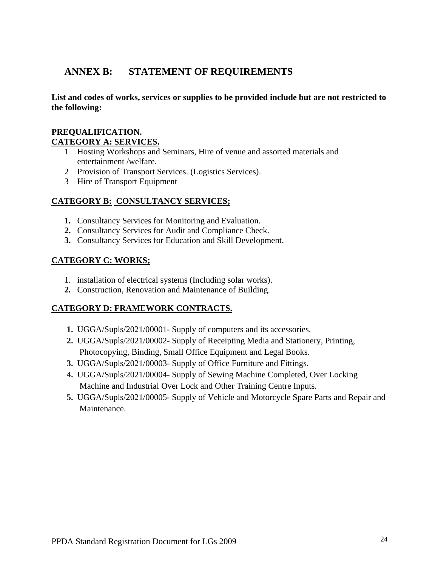## **ANNEX B: STATEMENT OF REQUIREMENTS**

**List and codes of works, services or supplies to be provided include but are not restricted to the following:**

#### **PREQUALIFICATION. CATEGORY A: SERVICES.**

- 1 Hosting Workshops and Seminars, Hire of venue and assorted materials and entertainment /welfare.
- 2 Provision of Transport Services. (Logistics Services).
- 3 Hire of Transport Equipment

#### **CATEGORY B: CONSULTANCY SERVICES;**

- **1.** Consultancy Services for Monitoring and Evaluation.
- **2.** Consultancy Services for Audit and Compliance Check.
- **3.** Consultancy Services for Education and Skill Development.

#### **CATEGORY C: WORKS;**

- 1. installation of electrical systems (Including solar works).
- **2.** Construction, Renovation and Maintenance of Building.

#### **CATEGORY D: FRAMEWORK CONTRACTS.**

- **1.** UGGA/Supls/2021/00001- Supply of computers and its accessories.
- **2.** UGGA/Supls/2021/00002- Supply of Receipting Media and Stationery, Printing, Photocopying, Binding, Small Office Equipment and Legal Books.
- **3.** UGGA/Supls/2021/00003- Supply of Office Furniture and Fittings.
- **4.** UGGA/Supls/2021/00004- Supply of Sewing Machine Completed, Over Locking Machine and Industrial Over Lock and Other Training Centre Inputs.
- **5.** UGGA/Supls/2021/00005- Supply of Vehicle and Motorcycle Spare Parts and Repair and Maintenance.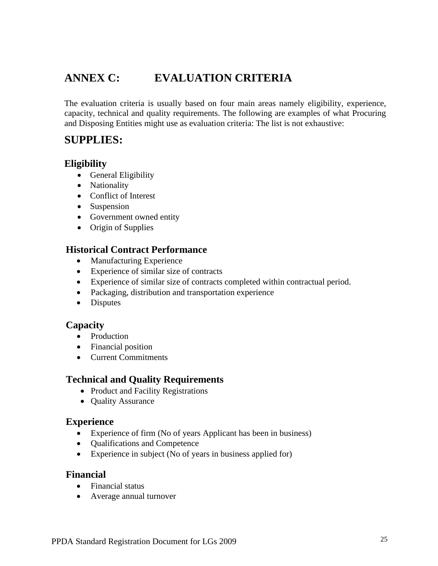# **ANNEX C: EVALUATION CRITERIA**

The evaluation criteria is usually based on four main areas namely eligibility, experience, capacity, technical and quality requirements. The following are examples of what Procuring and Disposing Entities might use as evaluation criteria: The list is not exhaustive:

## **SUPPLIES:**

### **Eligibility**

- General Eligibility
- Nationality
- Conflict of Interest
- Suspension
- Government owned entity
- Origin of Supplies

## **Historical Contract Performance**

- Manufacturing Experience
- Experience of similar size of contracts
- Experience of similar size of contracts completed within contractual period.
- Packaging, distribution and transportation experience
- Disputes

## **Capacity**

- Production
- Financial position
- Current Commitments

## **Technical and Quality Requirements**

- Product and Facility Registrations
- Quality Assurance

### **Experience**

- Experience of firm (No of years Applicant has been in business)
- Qualifications and Competence
- Experience in subject (No of years in business applied for)

### **Financial**

- Financial status
- Average annual turnover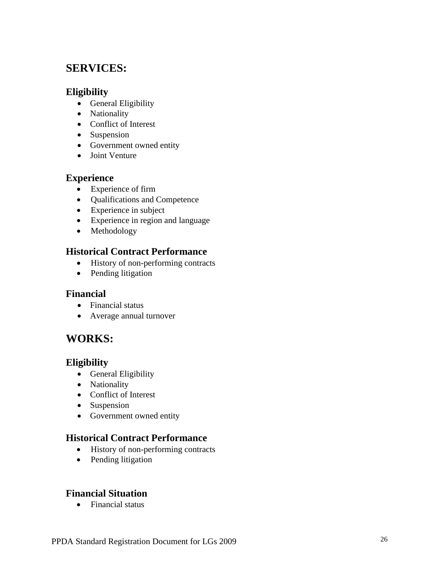## **SERVICES:**

### **Eligibility**

- General Eligibility
- Nationality
- Conflict of Interest
- Suspension
- Government owned entity
- Joint Venture

### **Experience**

- Experience of firm
- Qualifications and Competence
- Experience in subject
- Experience in region and language
- Methodology

## **Historical Contract Performance**

- History of non-performing contracts
- Pending litigation

### **Financial**

- Financial status
- Average annual turnover

## **WORKS:**

## **Eligibility**

- General Eligibility
- Nationality
- Conflict of Interest
- Suspension
- Government owned entity

## **Historical Contract Performance**

- History of non-performing contracts
- Pending litigation

## **Financial Situation**

• Financial status